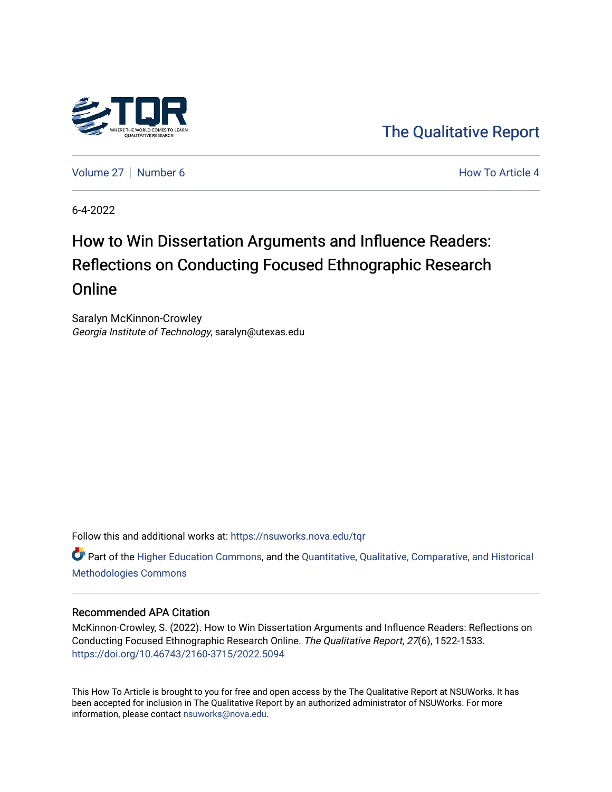

[The Qualitative Report](https://nsuworks.nova.edu/tqr) 

[Volume 27](https://nsuworks.nova.edu/tqr/vol27) | [Number 6](https://nsuworks.nova.edu/tqr/vol27/iss6) **How To Article 4**  $\blacksquare$ 

6-4-2022

## How to Win Dissertation Arguments and Influence Readers: Reflections on Conducting Focused Ethnographic Research **Online**

Saralyn McKinnon-Crowley Georgia Institute of Technology, saralyn@utexas.edu

Follow this and additional works at: [https://nsuworks.nova.edu/tqr](https://nsuworks.nova.edu/tqr?utm_source=nsuworks.nova.edu%2Ftqr%2Fvol27%2Fiss6%2F4&utm_medium=PDF&utm_campaign=PDFCoverPages) 

Part of the [Higher Education Commons,](https://network.bepress.com/hgg/discipline/1245?utm_source=nsuworks.nova.edu%2Ftqr%2Fvol27%2Fiss6%2F4&utm_medium=PDF&utm_campaign=PDFCoverPages) and the [Quantitative, Qualitative, Comparative, and Historical](https://network.bepress.com/hgg/discipline/423?utm_source=nsuworks.nova.edu%2Ftqr%2Fvol27%2Fiss6%2F4&utm_medium=PDF&utm_campaign=PDFCoverPages) [Methodologies Commons](https://network.bepress.com/hgg/discipline/423?utm_source=nsuworks.nova.edu%2Ftqr%2Fvol27%2Fiss6%2F4&utm_medium=PDF&utm_campaign=PDFCoverPages) 

#### Recommended APA Citation

McKinnon-Crowley, S. (2022). How to Win Dissertation Arguments and Influence Readers: Reflections on Conducting Focused Ethnographic Research Online. The Qualitative Report, 27(6), 1522-1533. <https://doi.org/10.46743/2160-3715/2022.5094>

This How To Article is brought to you for free and open access by the The Qualitative Report at NSUWorks. It has been accepted for inclusion in The Qualitative Report by an authorized administrator of NSUWorks. For more information, please contact [nsuworks@nova.edu.](mailto:nsuworks@nova.edu)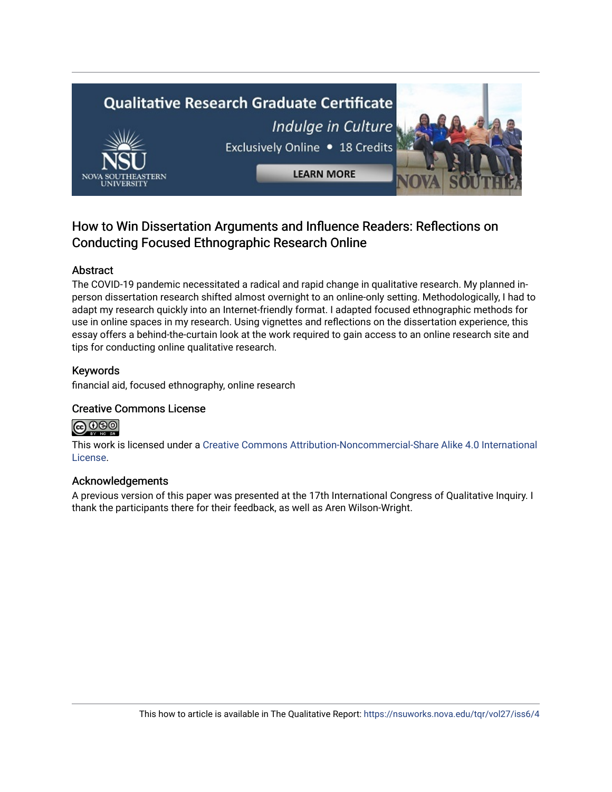# **Qualitative Research Graduate Certificate** Indulge in Culture Exclusively Online . 18 Credits **LEARN MORE**

### How to Win Dissertation Arguments and Influence Readers: Reflections on Conducting Focused Ethnographic Research Online

#### Abstract

The COVID-19 pandemic necessitated a radical and rapid change in qualitative research. My planned inperson dissertation research shifted almost overnight to an online-only setting. Methodologically, I had to adapt my research quickly into an Internet-friendly format. I adapted focused ethnographic methods for use in online spaces in my research. Using vignettes and reflections on the dissertation experience, this essay offers a behind-the-curtain look at the work required to gain access to an online research site and tips for conducting online qualitative research.

#### Keywords

financial aid, focused ethnography, online research

#### Creative Commons License



This work is licensed under a [Creative Commons Attribution-Noncommercial-Share Alike 4.0 International](https://creativecommons.org/licenses/by-nc-sa/4.0/)  [License](https://creativecommons.org/licenses/by-nc-sa/4.0/).

#### Acknowledgements

A previous version of this paper was presented at the 17th International Congress of Qualitative Inquiry. I thank the participants there for their feedback, as well as Aren Wilson-Wright.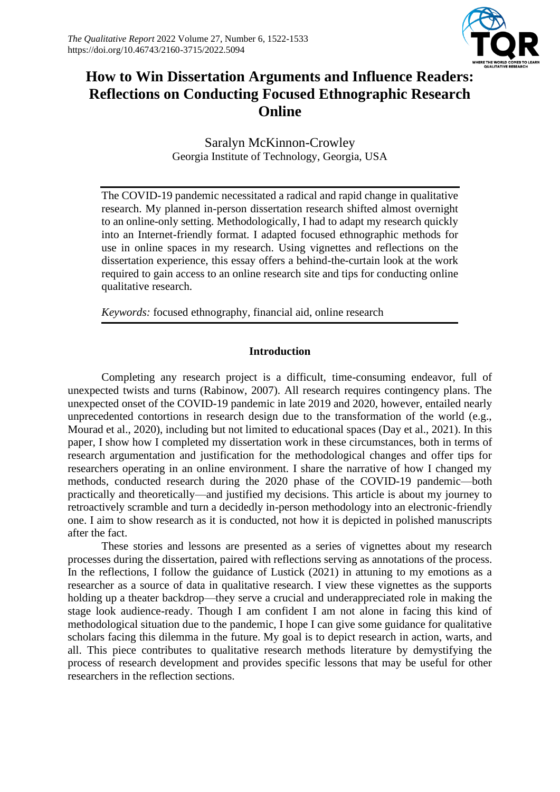

## **How to Win Dissertation Arguments and Influence Readers: Reflections on Conducting Focused Ethnographic Research Online**

Saralyn McKinnon-Crowley Georgia Institute of Technology, Georgia, USA

The COVID-19 pandemic necessitated a radical and rapid change in qualitative research. My planned in-person dissertation research shifted almost overnight to an online-only setting. Methodologically, I had to adapt my research quickly into an Internet-friendly format. I adapted focused ethnographic methods for use in online spaces in my research. Using vignettes and reflections on the dissertation experience, this essay offers a behind-the-curtain look at the work required to gain access to an online research site and tips for conducting online qualitative research.

*Keywords:* focused ethnography, financial aid, online research

#### **Introduction**

Completing any research project is a difficult, time-consuming endeavor, full of unexpected twists and turns (Rabinow, 2007). All research requires contingency plans. The unexpected onset of the COVID-19 pandemic in late 2019 and 2020, however, entailed nearly unprecedented contortions in research design due to the transformation of the world (e.g., Mourad et al., 2020), including but not limited to educational spaces (Day et al., 2021). In this paper, I show how I completed my dissertation work in these circumstances, both in terms of research argumentation and justification for the methodological changes and offer tips for researchers operating in an online environment. I share the narrative of how I changed my methods, conducted research during the 2020 phase of the COVID-19 pandemic—both practically and theoretically—and justified my decisions. This article is about my journey to retroactively scramble and turn a decidedly in-person methodology into an electronic-friendly one. I aim to show research as it is conducted, not how it is depicted in polished manuscripts after the fact.

These stories and lessons are presented as a series of vignettes about my research processes during the dissertation, paired with reflections serving as annotations of the process. In the reflections, I follow the guidance of Lustick (2021) in attuning to my emotions as a researcher as a source of data in qualitative research. I view these vignettes as the supports holding up a theater backdrop—they serve a crucial and underappreciated role in making the stage look audience-ready. Though I am confident I am not alone in facing this kind of methodological situation due to the pandemic, I hope I can give some guidance for qualitative scholars facing this dilemma in the future. My goal is to depict research in action, warts, and all. This piece contributes to qualitative research methods literature by demystifying the process of research development and provides specific lessons that may be useful for other researchers in the reflection sections.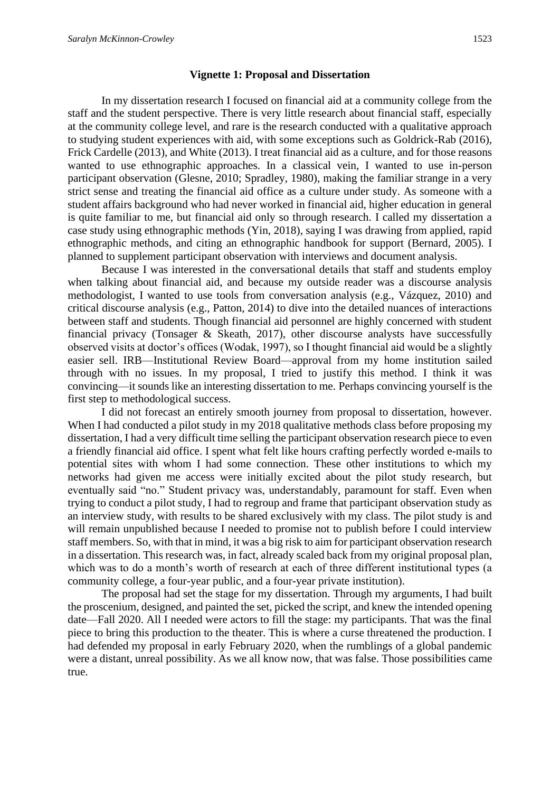#### **Vignette 1: Proposal and Dissertation**

In my dissertation research I focused on financial aid at a community college from the staff and the student perspective. There is very little research about financial staff, especially at the community college level, and rare is the research conducted with a qualitative approach to studying student experiences with aid, with some exceptions such as Goldrick-Rab (2016), Frick Cardelle (2013), and White (2013). I treat financial aid as a culture, and for those reasons wanted to use ethnographic approaches. In a classical vein, I wanted to use in-person participant observation (Glesne, 2010; Spradley, 1980), making the familiar strange in a very strict sense and treating the financial aid office as a culture under study. As someone with a student affairs background who had never worked in financial aid, higher education in general is quite familiar to me, but financial aid only so through research. I called my dissertation a case study using ethnographic methods (Yin, 2018), saying I was drawing from applied, rapid ethnographic methods, and citing an ethnographic handbook for support (Bernard, 2005). I planned to supplement participant observation with interviews and document analysis.

Because I was interested in the conversational details that staff and students employ when talking about financial aid, and because my outside reader was a discourse analysis methodologist, I wanted to use tools from conversation analysis (e.g., Vázquez, 2010) and critical discourse analysis (e.g., Patton, 2014) to dive into the detailed nuances of interactions between staff and students. Though financial aid personnel are highly concerned with student financial privacy (Tonsager & Skeath, 2017), other discourse analysts have successfully observed visits at doctor's offices (Wodak, 1997), so I thought financial aid would be a slightly easier sell. IRB—Institutional Review Board—approval from my home institution sailed through with no issues. In my proposal, I tried to justify this method. I think it was convincing—it sounds like an interesting dissertation to me. Perhaps convincing yourself is the first step to methodological success.

I did not forecast an entirely smooth journey from proposal to dissertation, however. When I had conducted a pilot study in my 2018 qualitative methods class before proposing my dissertation, I had a very difficult time selling the participant observation research piece to even a friendly financial aid office. I spent what felt like hours crafting perfectly worded e-mails to potential sites with whom I had some connection. These other institutions to which my networks had given me access were initially excited about the pilot study research, but eventually said "no." Student privacy was, understandably, paramount for staff. Even when trying to conduct a pilot study, I had to regroup and frame that participant observation study as an interview study, with results to be shared exclusively with my class. The pilot study is and will remain unpublished because I needed to promise not to publish before I could interview staff members. So, with that in mind, it was a big risk to aim for participant observation research in a dissertation. This research was, in fact, already scaled back from my original proposal plan, which was to do a month's worth of research at each of three different institutional types (a community college, a four-year public, and a four-year private institution).

The proposal had set the stage for my dissertation. Through my arguments, I had built the proscenium, designed, and painted the set, picked the script, and knew the intended opening date—Fall 2020. All I needed were actors to fill the stage: my participants. That was the final piece to bring this production to the theater. This is where a curse threatened the production. I had defended my proposal in early February 2020, when the rumblings of a global pandemic were a distant, unreal possibility. As we all know now, that was false. Those possibilities came true.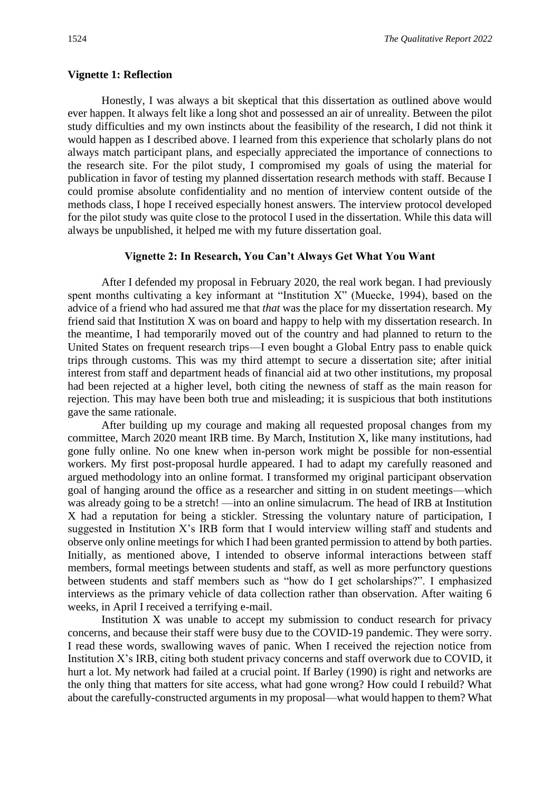#### **Vignette 1: Reflection**

Honestly, I was always a bit skeptical that this dissertation as outlined above would ever happen. It always felt like a long shot and possessed an air of unreality. Between the pilot study difficulties and my own instincts about the feasibility of the research, I did not think it would happen as I described above. I learned from this experience that scholarly plans do not always match participant plans, and especially appreciated the importance of connections to the research site. For the pilot study, I compromised my goals of using the material for publication in favor of testing my planned dissertation research methods with staff. Because I could promise absolute confidentiality and no mention of interview content outside of the methods class, I hope I received especially honest answers. The interview protocol developed for the pilot study was quite close to the protocol I used in the dissertation. While this data will always be unpublished, it helped me with my future dissertation goal.

#### **Vignette 2: In Research, You Can't Always Get What You Want**

After I defended my proposal in February 2020, the real work began. I had previously spent months cultivating a key informant at "Institution X" (Muecke, 1994), based on the advice of a friend who had assured me that *that* was the place for my dissertation research. My friend said that Institution X was on board and happy to help with my dissertation research. In the meantime, I had temporarily moved out of the country and had planned to return to the United States on frequent research trips—I even bought a Global Entry pass to enable quick trips through customs. This was my third attempt to secure a dissertation site; after initial interest from staff and department heads of financial aid at two other institutions, my proposal had been rejected at a higher level, both citing the newness of staff as the main reason for rejection. This may have been both true and misleading; it is suspicious that both institutions gave the same rationale.

After building up my courage and making all requested proposal changes from my committee, March 2020 meant IRB time. By March, Institution X, like many institutions, had gone fully online. No one knew when in-person work might be possible for non-essential workers. My first post-proposal hurdle appeared. I had to adapt my carefully reasoned and argued methodology into an online format. I transformed my original participant observation goal of hanging around the office as a researcher and sitting in on student meetings—which was already going to be a stretch! —into an online simulacrum. The head of IRB at Institution X had a reputation for being a stickler. Stressing the voluntary nature of participation, I suggested in Institution X's IRB form that I would interview willing staff and students and observe only online meetings for which I had been granted permission to attend by both parties. Initially, as mentioned above, I intended to observe informal interactions between staff members, formal meetings between students and staff, as well as more perfunctory questions between students and staff members such as "how do I get scholarships?". I emphasized interviews as the primary vehicle of data collection rather than observation. After waiting 6 weeks, in April I received a terrifying e-mail.

Institution X was unable to accept my submission to conduct research for privacy concerns, and because their staff were busy due to the COVID-19 pandemic. They were sorry. I read these words, swallowing waves of panic. When I received the rejection notice from Institution X's IRB, citing both student privacy concerns and staff overwork due to COVID, it hurt a lot. My network had failed at a crucial point. If Barley (1990) is right and networks are the only thing that matters for site access, what had gone wrong? How could I rebuild? What about the carefully-constructed arguments in my proposal—what would happen to them? What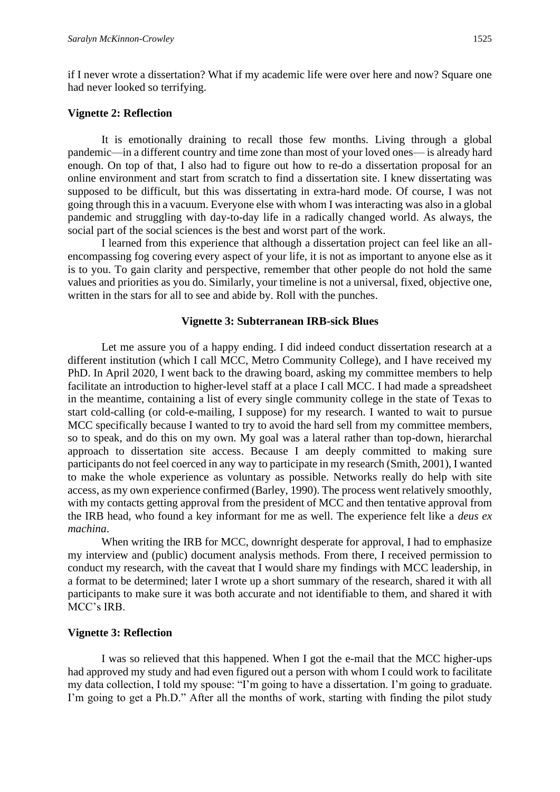if I never wrote a dissertation? What if my academic life were over here and now? Square one had never looked so terrifying.

#### **Vignette 2: Reflection**

It is emotionally draining to recall those few months. Living through a global pandemic—in a different country and time zone than most of your loved ones— is already hard enough. On top of that, I also had to figure out how to re-do a dissertation proposal for an online environment and start from scratch to find a dissertation site. I knew dissertating was supposed to be difficult, but this was dissertating in extra-hard mode. Of course, I was not going through this in a vacuum. Everyone else with whom I was interacting was also in a global pandemic and struggling with day-to-day life in a radically changed world. As always, the social part of the social sciences is the best and worst part of the work.

I learned from this experience that although a dissertation project can feel like an allencompassing fog covering every aspect of your life, it is not as important to anyone else as it is to you. To gain clarity and perspective, remember that other people do not hold the same values and priorities as you do. Similarly, your timeline is not a universal, fixed, objective one, written in the stars for all to see and abide by. Roll with the punches.

#### **Vignette 3: Subterranean IRB-sick Blues**

Let me assure you of a happy ending. I did indeed conduct dissertation research at a different institution (which I call MCC, Metro Community College), and I have received my PhD. In April 2020, I went back to the drawing board, asking my committee members to help facilitate an introduction to higher-level staff at a place I call MCC. I had made a spreadsheet in the meantime, containing a list of every single community college in the state of Texas to start cold-calling (or cold-e-mailing, I suppose) for my research. I wanted to wait to pursue MCC specifically because I wanted to try to avoid the hard sell from my committee members, so to speak, and do this on my own. My goal was a lateral rather than top-down, hierarchal approach to dissertation site access. Because I am deeply committed to making sure participants do not feel coerced in any way to participate in my research (Smith, 2001), I wanted to make the whole experience as voluntary as possible. Networks really do help with site access, as my own experience confirmed (Barley, 1990). The process went relatively smoothly, with my contacts getting approval from the president of MCC and then tentative approval from the IRB head, who found a key informant for me as well. The experience felt like a *deus ex machina*.

When writing the IRB for MCC, downright desperate for approval, I had to emphasize my interview and (public) document analysis methods. From there, I received permission to conduct my research, with the caveat that I would share my findings with MCC leadership, in a format to be determined; later I wrote up a short summary of the research, shared it with all participants to make sure it was both accurate and not identifiable to them, and shared it with MCC's IRB.

#### **Vignette 3: Reflection**

I was so relieved that this happened. When I got the e-mail that the MCC higher-ups had approved my study and had even figured out a person with whom I could work to facilitate my data collection, I told my spouse: "I'm going to have a dissertation. I'm going to graduate. I'm going to get a Ph.D." After all the months of work, starting with finding the pilot study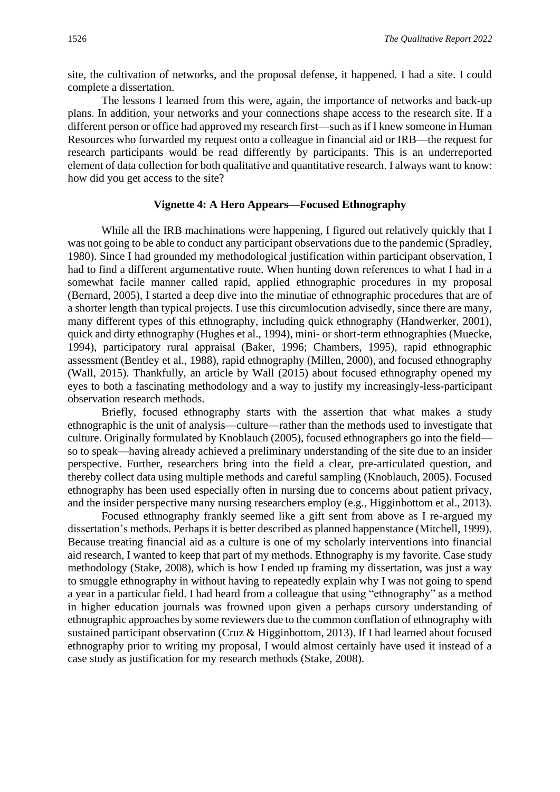site, the cultivation of networks, and the proposal defense, it happened. I had a site. I could complete a dissertation.

The lessons I learned from this were, again, the importance of networks and back-up plans. In addition, your networks and your connections shape access to the research site. If a different person or office had approved my research first—such as if I knew someone in Human Resources who forwarded my request onto a colleague in financial aid or IRB—the request for research participants would be read differently by participants. This is an underreported element of data collection for both qualitative and quantitative research. I always want to know: how did you get access to the site?

#### **Vignette 4: A Hero Appears—Focused Ethnography**

While all the IRB machinations were happening, I figured out relatively quickly that I was not going to be able to conduct any participant observations due to the pandemic (Spradley, 1980). Since I had grounded my methodological justification within participant observation, I had to find a different argumentative route. When hunting down references to what I had in a somewhat facile manner called rapid, applied ethnographic procedures in my proposal (Bernard, 2005), I started a deep dive into the minutiae of ethnographic procedures that are of a shorter length than typical projects. I use this circumlocution advisedly, since there are many, many different types of this ethnography, including quick ethnography (Handwerker, 2001), quick and dirty ethnography (Hughes et al., 1994), mini- or short-term ethnographies (Muecke, 1994), participatory rural appraisal (Baker, 1996; Chambers, 1995), rapid ethnographic assessment (Bentley et al., 1988), rapid ethnography (Millen, 2000), and focused ethnography (Wall, 2015). Thankfully, an article by Wall (2015) about focused ethnography opened my eyes to both a fascinating methodology and a way to justify my increasingly-less-participant observation research methods.

Briefly, focused ethnography starts with the assertion that what makes a study ethnographic is the unit of analysis—culture—rather than the methods used to investigate that culture. Originally formulated by Knoblauch (2005), focused ethnographers go into the field so to speak—having already achieved a preliminary understanding of the site due to an insider perspective. Further, researchers bring into the field a clear, pre-articulated question, and thereby collect data using multiple methods and careful sampling (Knoblauch, 2005). Focused ethnography has been used especially often in nursing due to concerns about patient privacy, and the insider perspective many nursing researchers employ (e.g., Higginbottom et al., 2013).

Focused ethnography frankly seemed like a gift sent from above as I re-argued my dissertation's methods. Perhaps it is better described as planned happenstance (Mitchell, 1999). Because treating financial aid as a culture is one of my scholarly interventions into financial aid research, I wanted to keep that part of my methods. Ethnography is my favorite. Case study methodology (Stake, 2008), which is how I ended up framing my dissertation, was just a way to smuggle ethnography in without having to repeatedly explain why I was not going to spend a year in a particular field. I had heard from a colleague that using "ethnography" as a method in higher education journals was frowned upon given a perhaps cursory understanding of ethnographic approaches by some reviewers due to the common conflation of ethnography with sustained participant observation (Cruz & Higginbottom, 2013). If I had learned about focused ethnography prior to writing my proposal, I would almost certainly have used it instead of a case study as justification for my research methods (Stake, 2008).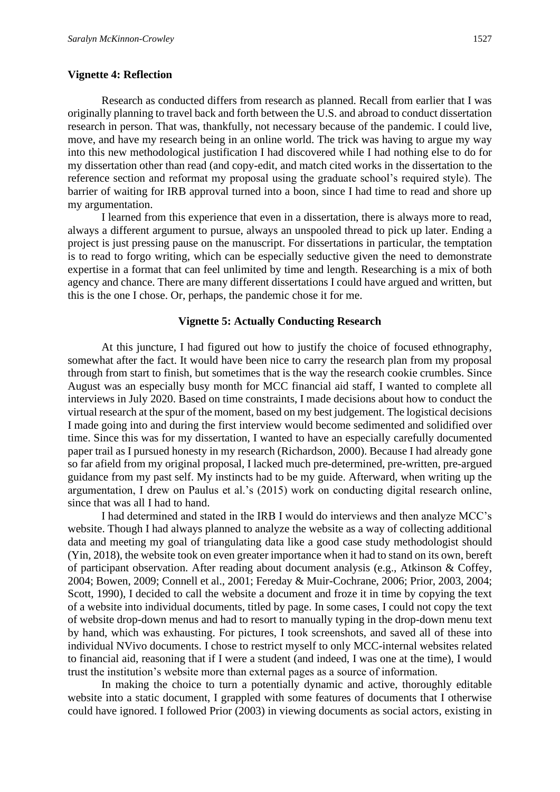#### **Vignette 4: Reflection**

Research as conducted differs from research as planned. Recall from earlier that I was originally planning to travel back and forth between the U.S. and abroad to conduct dissertation research in person. That was, thankfully, not necessary because of the pandemic. I could live, move, and have my research being in an online world. The trick was having to argue my way into this new methodological justification I had discovered while I had nothing else to do for my dissertation other than read (and copy-edit, and match cited works in the dissertation to the reference section and reformat my proposal using the graduate school's required style). The barrier of waiting for IRB approval turned into a boon, since I had time to read and shore up my argumentation.

I learned from this experience that even in a dissertation, there is always more to read, always a different argument to pursue, always an unspooled thread to pick up later. Ending a project is just pressing pause on the manuscript. For dissertations in particular, the temptation is to read to forgo writing, which can be especially seductive given the need to demonstrate expertise in a format that can feel unlimited by time and length. Researching is a mix of both agency and chance. There are many different dissertations I could have argued and written, but this is the one I chose. Or, perhaps, the pandemic chose it for me.

#### **Vignette 5: Actually Conducting Research**

At this juncture, I had figured out how to justify the choice of focused ethnography, somewhat after the fact. It would have been nice to carry the research plan from my proposal through from start to finish, but sometimes that is the way the research cookie crumbles. Since August was an especially busy month for MCC financial aid staff, I wanted to complete all interviews in July 2020. Based on time constraints, I made decisions about how to conduct the virtual research at the spur of the moment, based on my best judgement. The logistical decisions I made going into and during the first interview would become sedimented and solidified over time. Since this was for my dissertation, I wanted to have an especially carefully documented paper trail as I pursued honesty in my research (Richardson, 2000). Because I had already gone so far afield from my original proposal, I lacked much pre-determined, pre-written, pre-argued guidance from my past self. My instincts had to be my guide. Afterward, when writing up the argumentation, I drew on Paulus et al.'s (2015) work on conducting digital research online, since that was all I had to hand.

I had determined and stated in the IRB I would do interviews and then analyze MCC's website. Though I had always planned to analyze the website as a way of collecting additional data and meeting my goal of triangulating data like a good case study methodologist should (Yin, 2018), the website took on even greater importance when it had to stand on its own, bereft of participant observation. After reading about document analysis (e.g., Atkinson & Coffey, 2004; Bowen, 2009; Connell et al., 2001; Fereday & Muir-Cochrane, 2006; Prior, 2003, 2004; Scott, 1990), I decided to call the website a document and froze it in time by copying the text of a website into individual documents, titled by page. In some cases, I could not copy the text of website drop-down menus and had to resort to manually typing in the drop-down menu text by hand, which was exhausting. For pictures, I took screenshots, and saved all of these into individual NVivo documents. I chose to restrict myself to only MCC-internal websites related to financial aid, reasoning that if I were a student (and indeed, I was one at the time), I would trust the institution's website more than external pages as a source of information.

In making the choice to turn a potentially dynamic and active, thoroughly editable website into a static document, I grappled with some features of documents that I otherwise could have ignored. I followed Prior (2003) in viewing documents as social actors, existing in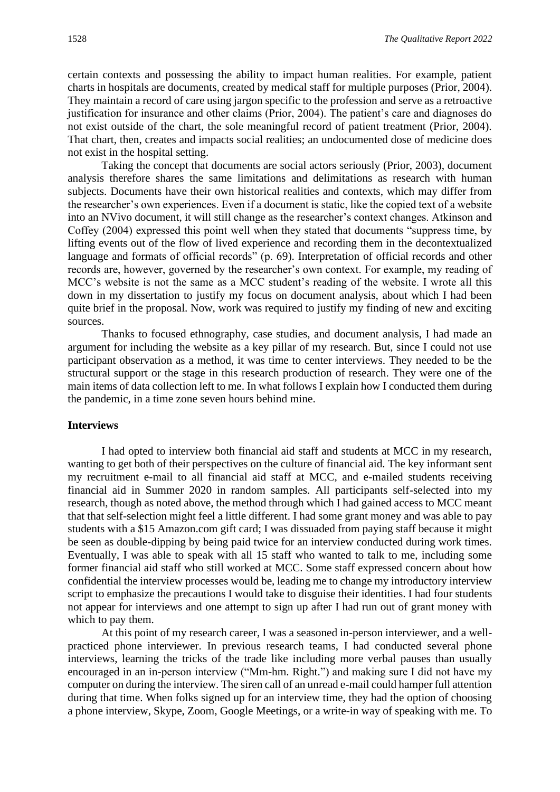certain contexts and possessing the ability to impact human realities. For example, patient charts in hospitals are documents, created by medical staff for multiple purposes (Prior, 2004). They maintain a record of care using jargon specific to the profession and serve as a retroactive justification for insurance and other claims (Prior, 2004). The patient's care and diagnoses do not exist outside of the chart, the sole meaningful record of patient treatment (Prior, 2004). That chart, then, creates and impacts social realities; an undocumented dose of medicine does not exist in the hospital setting.

Taking the concept that documents are social actors seriously (Prior, 2003), document analysis therefore shares the same limitations and delimitations as research with human subjects. Documents have their own historical realities and contexts, which may differ from the researcher's own experiences. Even if a document is static, like the copied text of a website into an NVivo document, it will still change as the researcher's context changes. Atkinson and Coffey (2004) expressed this point well when they stated that documents "suppress time, by lifting events out of the flow of lived experience and recording them in the decontextualized language and formats of official records" (p. 69). Interpretation of official records and other records are, however, governed by the researcher's own context. For example, my reading of MCC's website is not the same as a MCC student's reading of the website. I wrote all this down in my dissertation to justify my focus on document analysis, about which I had been quite brief in the proposal. Now, work was required to justify my finding of new and exciting sources.

Thanks to focused ethnography, case studies, and document analysis, I had made an argument for including the website as a key pillar of my research. But, since I could not use participant observation as a method, it was time to center interviews. They needed to be the structural support or the stage in this research production of research. They were one of the main items of data collection left to me. In what follows I explain how I conducted them during the pandemic, in a time zone seven hours behind mine.

#### **Interviews**

I had opted to interview both financial aid staff and students at MCC in my research, wanting to get both of their perspectives on the culture of financial aid. The key informant sent my recruitment e-mail to all financial aid staff at MCC, and e-mailed students receiving financial aid in Summer 2020 in random samples. All participants self-selected into my research, though as noted above, the method through which I had gained access to MCC meant that that self-selection might feel a little different. I had some grant money and was able to pay students with a \$15 Amazon.com gift card; I was dissuaded from paying staff because it might be seen as double-dipping by being paid twice for an interview conducted during work times. Eventually, I was able to speak with all 15 staff who wanted to talk to me, including some former financial aid staff who still worked at MCC. Some staff expressed concern about how confidential the interview processes would be, leading me to change my introductory interview script to emphasize the precautions I would take to disguise their identities. I had four students not appear for interviews and one attempt to sign up after I had run out of grant money with which to pay them.

At this point of my research career, I was a seasoned in-person interviewer, and a wellpracticed phone interviewer. In previous research teams, I had conducted several phone interviews, learning the tricks of the trade like including more verbal pauses than usually encouraged in an in-person interview ("Mm-hm. Right.") and making sure I did not have my computer on during the interview. The siren call of an unread e-mail could hamper full attention during that time. When folks signed up for an interview time, they had the option of choosing a phone interview, Skype, Zoom, Google Meetings, or a write-in way of speaking with me. To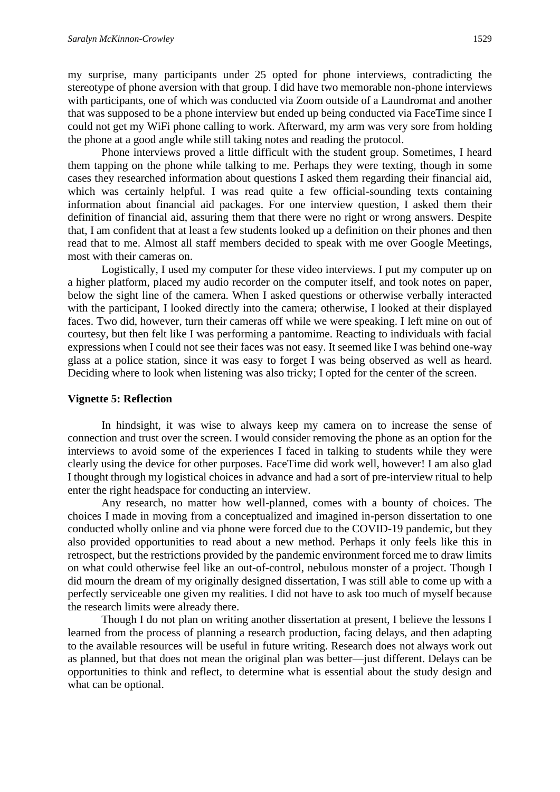my surprise, many participants under 25 opted for phone interviews, contradicting the stereotype of phone aversion with that group. I did have two memorable non-phone interviews with participants, one of which was conducted via Zoom outside of a Laundromat and another that was supposed to be a phone interview but ended up being conducted via FaceTime since I could not get my WiFi phone calling to work. Afterward, my arm was very sore from holding the phone at a good angle while still taking notes and reading the protocol.

Phone interviews proved a little difficult with the student group. Sometimes, I heard them tapping on the phone while talking to me. Perhaps they were texting, though in some cases they researched information about questions I asked them regarding their financial aid, which was certainly helpful. I was read quite a few official-sounding texts containing information about financial aid packages. For one interview question, I asked them their definition of financial aid, assuring them that there were no right or wrong answers. Despite that, I am confident that at least a few students looked up a definition on their phones and then read that to me. Almost all staff members decided to speak with me over Google Meetings, most with their cameras on.

Logistically, I used my computer for these video interviews. I put my computer up on a higher platform, placed my audio recorder on the computer itself, and took notes on paper, below the sight line of the camera. When I asked questions or otherwise verbally interacted with the participant, I looked directly into the camera; otherwise, I looked at their displayed faces. Two did, however, turn their cameras off while we were speaking. I left mine on out of courtesy, but then felt like I was performing a pantomime. Reacting to individuals with facial expressions when I could not see their faces was not easy. It seemed like I was behind one-way glass at a police station, since it was easy to forget I was being observed as well as heard. Deciding where to look when listening was also tricky; I opted for the center of the screen.

#### **Vignette 5: Reflection**

In hindsight, it was wise to always keep my camera on to increase the sense of connection and trust over the screen. I would consider removing the phone as an option for the interviews to avoid some of the experiences I faced in talking to students while they were clearly using the device for other purposes. FaceTime did work well, however! I am also glad I thought through my logistical choices in advance and had a sort of pre-interview ritual to help enter the right headspace for conducting an interview.

Any research, no matter how well-planned, comes with a bounty of choices. The choices I made in moving from a conceptualized and imagined in-person dissertation to one conducted wholly online and via phone were forced due to the COVID-19 pandemic, but they also provided opportunities to read about a new method. Perhaps it only feels like this in retrospect, but the restrictions provided by the pandemic environment forced me to draw limits on what could otherwise feel like an out-of-control, nebulous monster of a project. Though I did mourn the dream of my originally designed dissertation, I was still able to come up with a perfectly serviceable one given my realities. I did not have to ask too much of myself because the research limits were already there.

Though I do not plan on writing another dissertation at present, I believe the lessons I learned from the process of planning a research production, facing delays, and then adapting to the available resources will be useful in future writing. Research does not always work out as planned, but that does not mean the original plan was better—just different. Delays can be opportunities to think and reflect, to determine what is essential about the study design and what can be optional.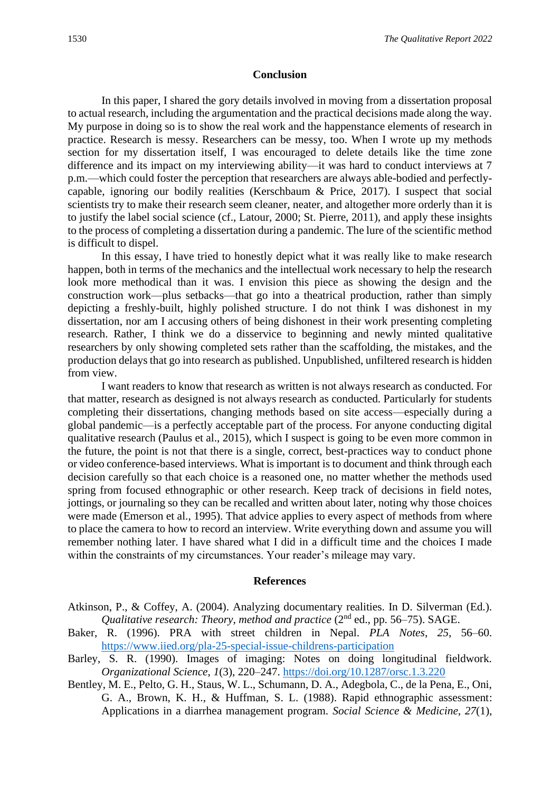#### **Conclusion**

In this paper, I shared the gory details involved in moving from a dissertation proposal to actual research, including the argumentation and the practical decisions made along the way. My purpose in doing so is to show the real work and the happenstance elements of research in practice. Research is messy. Researchers can be messy, too. When I wrote up my methods section for my dissertation itself, I was encouraged to delete details like the time zone difference and its impact on my interviewing ability—it was hard to conduct interviews at 7 p.m.—which could foster the perception that researchers are always able-bodied and perfectlycapable, ignoring our bodily realities (Kerschbaum & Price, 2017). I suspect that social scientists try to make their research seem cleaner, neater, and altogether more orderly than it is to justify the label social science (cf., Latour, 2000; St. Pierre, 2011), and apply these insights to the process of completing a dissertation during a pandemic. The lure of the scientific method is difficult to dispel.

In this essay, I have tried to honestly depict what it was really like to make research happen, both in terms of the mechanics and the intellectual work necessary to help the research look more methodical than it was. I envision this piece as showing the design and the construction work—plus setbacks—that go into a theatrical production, rather than simply depicting a freshly-built, highly polished structure. I do not think I was dishonest in my dissertation, nor am I accusing others of being dishonest in their work presenting completing research. Rather, I think we do a disservice to beginning and newly minted qualitative researchers by only showing completed sets rather than the scaffolding, the mistakes, and the production delays that go into research as published. Unpublished, unfiltered research is hidden from view.

I want readers to know that research as written is not always research as conducted. For that matter, research as designed is not always research as conducted. Particularly for students completing their dissertations, changing methods based on site access—especially during a global pandemic—is a perfectly acceptable part of the process. For anyone conducting digital qualitative research (Paulus et al., 2015), which I suspect is going to be even more common in the future, the point is not that there is a single, correct, best-practices way to conduct phone or video conference-based interviews. What is important is to document and think through each decision carefully so that each choice is a reasoned one, no matter whether the methods used spring from focused ethnographic or other research. Keep track of decisions in field notes, jottings, or journaling so they can be recalled and written about later, noting why those choices were made (Emerson et al., 1995). That advice applies to every aspect of methods from where to place the camera to how to record an interview. Write everything down and assume you will remember nothing later. I have shared what I did in a difficult time and the choices I made within the constraints of my circumstances. Your reader's mileage may vary.

#### **References**

- Atkinson, P., & Coffey, A. (2004). Analyzing documentary realities. In D. Silverman (Ed.). *Qualitative research: Theory, method and practice* (2<sup>nd</sup> ed., pp. 56–75). SAGE.
- Baker, R. (1996). PRA with street children in Nepal. *PLA Notes*, *25*, 56–60. <https://www.iied.org/pla-25-special-issue-childrens-participation>
- Barley, S. R. (1990). Images of imaging: Notes on doing longitudinal fieldwork. *Organizational Science*, *1*(3), 220–247.<https://doi.org/10.1287/orsc.1.3.220>
- Bentley, M. E., Pelto, G. H., Staus, W. L., Schumann, D. A., Adegbola, C., de la Pena, E., Oni, G. A., Brown, K. H., & Huffman, S. L. (1988). Rapid ethnographic assessment: Applications in a diarrhea management program. *Social Science & Medicine*, *27*(1),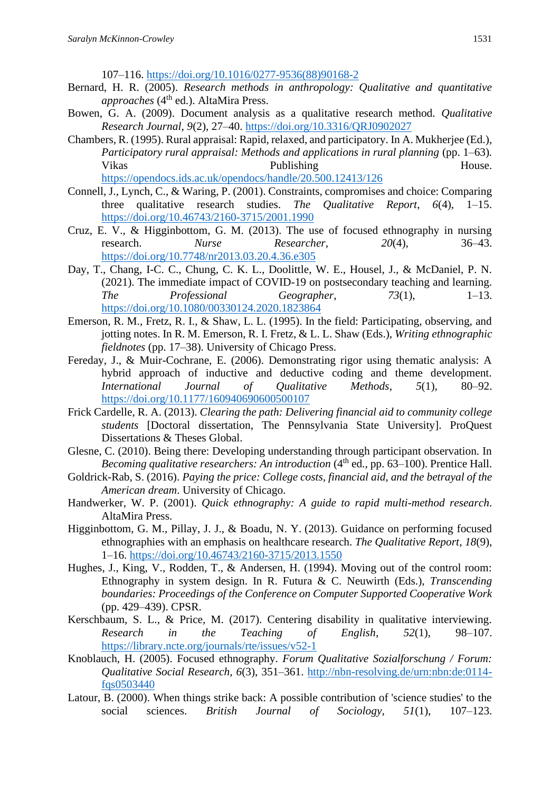107–116. [https://doi.org/10.1016/0277-9536\(88\)90168-2](https://doi.org/10.1016/0277-9536(88)90168-2)

- Bernard, H. R. (2005). *Research methods in anthropology: Qualitative and quantitative approaches* (4<sup>th</sup> ed.). AltaMira Press.
- Bowen, G. A. (2009). Document analysis as a qualitative research method. *Qualitative Research Journal*, *9*(2), 27–40.<https://doi.org/10.3316/QRJ0902027>
- Chambers, R. (1995). Rural appraisal: Rapid, relaxed, and participatory. In A. Mukherjee (Ed.), *Participatory rural appraisal: Methods and applications in rural planning (pp. 1–63).* Vikas Publishing Publishing House. <https://opendocs.ids.ac.uk/opendocs/handle/20.500.12413/126>
- Connell, J., Lynch, C., & Waring, P. (2001). Constraints, compromises and choice: Comparing three qualitative research studies. *The Qualitative Report*, *6*(4), 1–15. <https://doi.org/10.46743/2160-3715/2001.1990>
- Cruz, E. V., & Higginbottom, G. M. (2013). The use of focused ethnography in nursing research. *Nurse Researcher*, *20*(4), 36–43. <https://doi.org/10.7748/nr2013.03.20.4.36.e305>
- Day, T., Chang, I-C. C., Chung, C. K. L., Doolittle, W. E., Housel, J., & McDaniel, P. N. (2021). The immediate impact of COVID-19 on postsecondary teaching and learning. *The Professional Geographer*, *73*(1), 1–13. <https://doi.org/10.1080/00330124.2020.1823864>
- Emerson, R. M., Fretz, R. I., & Shaw, L. L. (1995). In the field: Participating, observing, and jotting notes. In R. M. Emerson, R. I. Fretz, & L. L. Shaw (Eds.), *Writing ethnographic fieldnotes* (pp. 17–38). University of Chicago Press.
- Fereday, J., & Muir-Cochrane, E. (2006). Demonstrating rigor using thematic analysis: A hybrid approach of inductive and deductive coding and theme development. *International Journal of Qualitative Methods*, *5*(1), 80–92. <https://doi.org/10.1177/160940690600500107>
- Frick Cardelle, R. A. (2013). *Clearing the path: Delivering financial aid to community college students* [Doctoral dissertation, The Pennsylvania State University]. ProQuest Dissertations & Theses Global.
- Glesne, C. (2010). Being there: Developing understanding through participant observation. In *Becoming qualitative researchers: An introduction* (4<sup>th</sup> ed., pp. 63–100). Prentice Hall.
- Goldrick-Rab, S. (2016). *Paying the price: College costs, financial aid, and the betrayal of the American dream*. University of Chicago.
- Handwerker, W. P. (2001). *Quick ethnography: A guide to rapid multi-method research*. AltaMira Press.
- Higginbottom, G. M., Pillay, J. J., & Boadu, N. Y. (2013). Guidance on performing focused ethnographies with an emphasis on healthcare research. *The Qualitative Report*, *18*(9), 1–16.<https://doi.org/10.46743/2160-3715/2013.1550>
- Hughes, J., King, V., Rodden, T., & Andersen, H. (1994). Moving out of the control room: Ethnography in system design. In R. Futura & C. Neuwirth (Eds.), *Transcending boundaries: Proceedings of the Conference on Computer Supported Cooperative Work* (pp. 429–439). CPSR.
- Kerschbaum, S. L., & Price, M. (2017). Centering disability in qualitative interviewing. *Research in the Teaching of English*, *52*(1), 98–107. <https://library.ncte.org/journals/rte/issues/v52-1>
- Knoblauch, H. (2005). Focused ethnography. *Forum Qualitative Sozialforschung / Forum: Qualitative Social Research*, *6*(3), 351–361. [http://nbn-resolving.de/urn:nbn:de:0114](http://nbn-resolving.de/urn:nbn:de:0114-fqs0503440) [fqs0503440](http://nbn-resolving.de/urn:nbn:de:0114-fqs0503440)
- Latour, B. (2000). When things strike back: A possible contribution of 'science studies' to the social sciences. *British Journal of Sociology*, *51*(1), 107–123.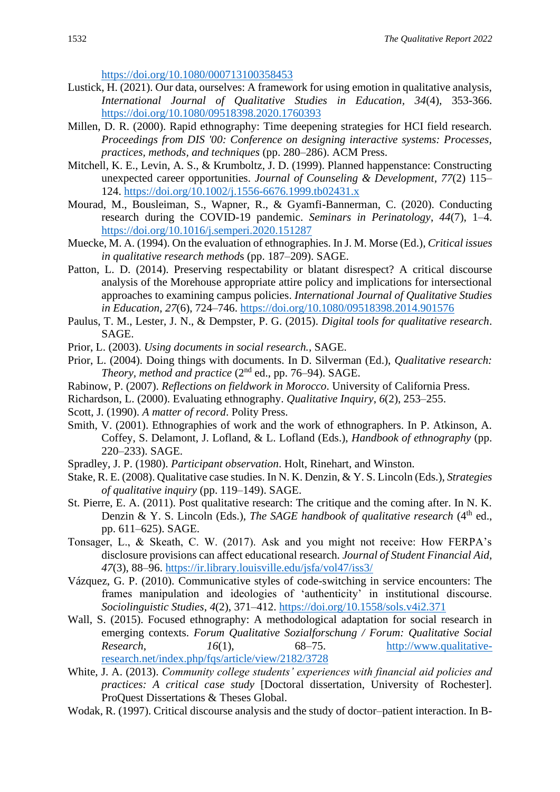<https://doi.org/10.1080/000713100358453>

- Lustick, H. (2021). Our data, ourselves: A framework for using emotion in qualitative analysis, *International Journal of Qualitative Studies in Education, 34*(4), 353-366. <https://doi.org/10.1080/09518398.2020.1760393>
- Millen, D. R. (2000). Rapid ethnography: Time deepening strategies for HCI field research. *Proceedings from DIS '00: Conference on designing interactive systems: Processes, practices, methods, and techniques* (pp. 280–286). ACM Press.
- Mitchell, K. E., Levin, A. S., & Krumboltz, J. D. (1999). Planned happenstance: Constructing unexpected career opportunities. *Journal of Counseling & Development, 77*(2) 115– 124.<https://doi.org/10.1002/j.1556-6676.1999.tb02431.x>
- Mourad, M., Bousleiman, S., Wapner, R., & Gyamfi-Bannerman, C. (2020). Conducting research during the COVID-19 pandemic. *Seminars in Perinatology*, *44*(7), 1–4. <https://doi.org/10.1016/j.semperi.2020.151287>
- Muecke, M. A. (1994). On the evaluation of ethnographies. In J. M. Morse (Ed.), *Critical issues in qualitative research method*s (pp. 187–209). SAGE.
- Patton, L. D. (2014). Preserving respectability or blatant disrespect? A critical discourse analysis of the Morehouse appropriate attire policy and implications for intersectional approaches to examining campus policies. *International Journal of Qualitative Studies in Education*, *27*(6), 724–746.<https://doi.org/10.1080/09518398.2014.901576>
- Paulus, T. M., Lester, J. N., & Dempster, P. G. (2015). *Digital tools for qualitative research*. SAGE.
- Prior, L. (2003). *Using documents in social research.,* SAGE.
- Prior, L. (2004). Doing things with documents. In D. Silverman (Ed.), *Qualitative research: Theory, method and practice* (2nd ed., pp. 76–94). SAGE.
- Rabinow, P. (2007). *Reflections on fieldwork in Morocco*. University of California Press.
- Richardson, L. (2000). Evaluating ethnography. *Qualitative Inquiry*, *6*(2), 253–255.
- Scott, J. (1990). *A matter of record*. Polity Press.
- Smith, V. (2001). Ethnographies of work and the work of ethnographers. In P. Atkinson, A. Coffey, S. Delamont, J. Lofland, & L. Lofland (Eds.), *Handbook of ethnography* (pp. 220–233). SAGE.
- Spradley, J. P. (1980). *Participant observation*. Holt, Rinehart, and Winston.
- Stake, R. E. (2008). Qualitative case studies. In N. K. Denzin, & Y. S. Lincoln (Eds.), *Strategies of qualitative inquiry* (pp. 119–149). SAGE.
- St. Pierre, E. A. (2011). Post qualitative research: The critique and the coming after. In N. K. Denzin & Y. S. Lincoln (Eds.), *The SAGE handbook of qualitative research* (4<sup>th</sup> ed., pp. 611–625). SAGE.
- Tonsager, L., & Skeath, C. W. (2017). Ask and you might not receive: How FERPA's disclosure provisions can affect educational research. *Journal of Student Financial Aid*, *47*(3), 88–96.<https://ir.library.louisville.edu/jsfa/vol47/iss3/>
- Vázquez, G. P. (2010). Communicative styles of code-switching in service encounters: The frames manipulation and ideologies of 'authenticity' in institutional discourse. *Sociolinguistic Studies*, *4*(2), 371–412.<https://doi.org/10.1558/sols.v4i2.371>
- Wall, S. (2015). Focused ethnography: A methodological adaptation for social research in emerging contexts. *Forum Qualitative Sozialforschung / Forum: Qualitative Social Research*, *16*(1), 68–75. [http://www.qualitative](http://www.qualitative-research.net/index.php/fqs/article/view/2182/3728)[research.net/index.php/fqs/article/view/2182/3728](http://www.qualitative-research.net/index.php/fqs/article/view/2182/3728)
- White, J. A. (2013). *Community college students' experiences with financial aid policies and practices: A critical case study* [Doctoral dissertation, University of Rochester]. ProQuest Dissertations & Theses Global.
- Wodak, R. (1997). Critical discourse analysis and the study of doctor–patient interaction. In B-